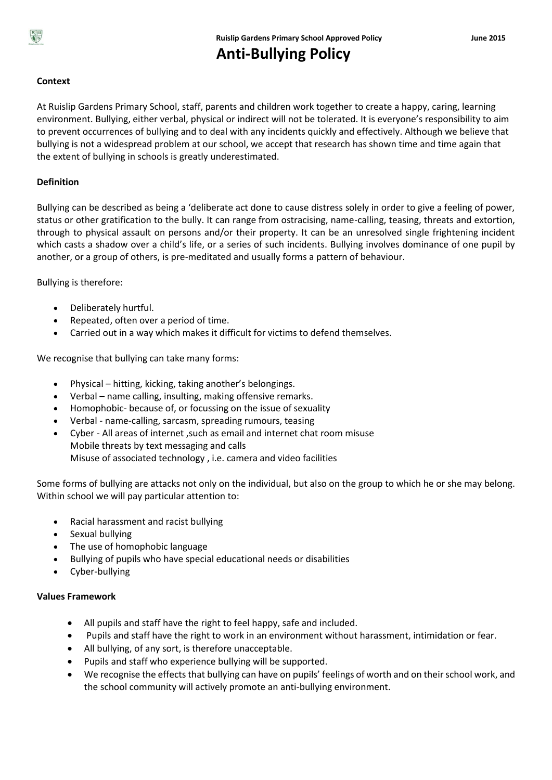

**Anti-Bullying Policy**

# **Context**

At Ruislip Gardens Primary School, staff, parents and children work together to create a happy, caring, learning environment. Bullying, either verbal, physical or indirect will not be tolerated. It is everyone's responsibility to aim to prevent occurrences of bullying and to deal with any incidents quickly and effectively. Although we believe that bullying is not a widespread problem at our school, we accept that research has shown time and time again that the extent of bullying in schools is greatly underestimated.

# **Definition**

Bullying can be described as being a 'deliberate act done to cause distress solely in order to give a feeling of power, status or other gratification to the bully. It can range from ostracising, name-calling, teasing, threats and extortion, through to physical assault on persons and/or their property. It can be an unresolved single frightening incident which casts a shadow over a child's life, or a series of such incidents. Bullying involves dominance of one pupil by another, or a group of others, is pre-meditated and usually forms a pattern of behaviour.

Bullying is therefore:

- Deliberately hurtful.
- Repeated, often over a period of time.
- Carried out in a way which makes it difficult for victims to defend themselves.

We recognise that bullying can take many forms:

- Physical hitting, kicking, taking another's belongings.
- Verbal name calling, insulting, making offensive remarks.
- Homophobic- because of, or focussing on the issue of sexuality
- Verbal name-calling, sarcasm, spreading rumours, teasing
- Cyber All areas of internet ,such as email and internet chat room misuse Mobile threats by text messaging and calls Misuse of associated technology , i.e. camera and video facilities

Some forms of bullying are attacks not only on the individual, but also on the group to which he or she may belong. Within school we will pay particular attention to:

- Racial harassment and racist bullying
- Sexual bullying
- The use of homophobic language
- Bullying of pupils who have special educational needs or disabilities
- Cyber-bullying

## **Values Framework**

- All pupils and staff have the right to feel happy, safe and included.
- Pupils and staff have the right to work in an environment without harassment, intimidation or fear.
- All bullying, of any sort, is therefore unacceptable.
- Pupils and staff who experience bullying will be supported.
- We recognise the effects that bullying can have on pupils' feelings of worth and on their school work, and the school community will actively promote an anti-bullying environment.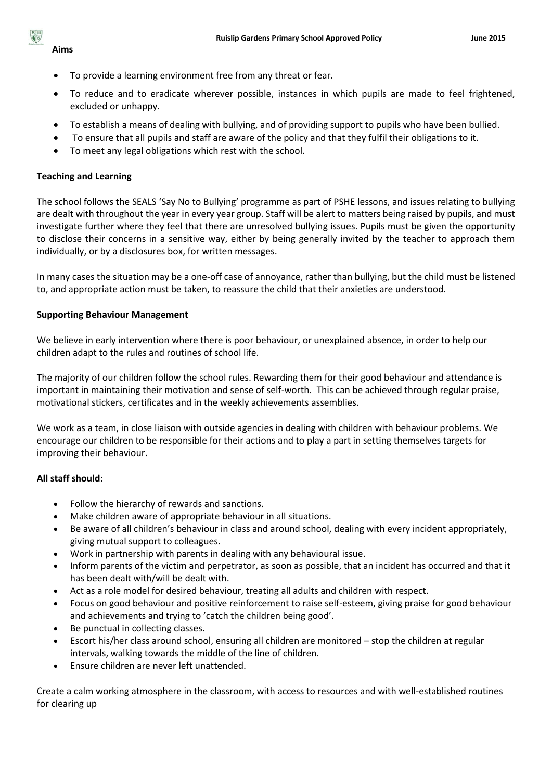## **Aims**

- To provide a learning environment free from any threat or fear.
- To reduce and to eradicate wherever possible, instances in which pupils are made to feel frightened, excluded or unhappy.
- To establish a means of dealing with bullying, and of providing support to pupils who have been bullied.
- To ensure that all pupils and staff are aware of the policy and that they fulfil their obligations to it.
- To meet any legal obligations which rest with the school.

# **Teaching and Learning**

The school follows the SEALS 'Say No to Bullying' programme as part of PSHE lessons, and issues relating to bullying are dealt with throughout the year in every year group. Staff will be alert to matters being raised by pupils, and must investigate further where they feel that there are unresolved bullying issues. Pupils must be given the opportunity to disclose their concerns in a sensitive way, either by being generally invited by the teacher to approach them individually, or by a disclosures box, for written messages.

In many cases the situation may be a one-off case of annoyance, rather than bullying, but the child must be listened to, and appropriate action must be taken, to reassure the child that their anxieties are understood.

# **Supporting Behaviour Management**

We believe in early intervention where there is poor behaviour, or unexplained absence, in order to help our children adapt to the rules and routines of school life.

The majority of our children follow the school rules. Rewarding them for their good behaviour and attendance is important in maintaining their motivation and sense of self-worth. This can be achieved through regular praise, motivational stickers, certificates and in the weekly achievements assemblies.

We work as a team, in close liaison with outside agencies in dealing with children with behaviour problems. We encourage our children to be responsible for their actions and to play a part in setting themselves targets for improving their behaviour.

# **All staff should:**

- Follow the hierarchy of rewards and sanctions.
- Make children aware of appropriate behaviour in all situations.
- Be aware of all children's behaviour in class and around school, dealing with every incident appropriately, giving mutual support to colleagues.
- Work in partnership with parents in dealing with any behavioural issue.
- Inform parents of the victim and perpetrator, as soon as possible, that an incident has occurred and that it has been dealt with/will be dealt with.
- Act as a role model for desired behaviour, treating all adults and children with respect.
- Focus on good behaviour and positive reinforcement to raise self-esteem, giving praise for good behaviour and achievements and trying to 'catch the children being good'.
- Be punctual in collecting classes.
- Escort his/her class around school, ensuring all children are monitored stop the children at regular intervals, walking towards the middle of the line of children.
- Ensure children are never left unattended.

Create a calm working atmosphere in the classroom, with access to resources and with well-established routines for clearing up

# $R =$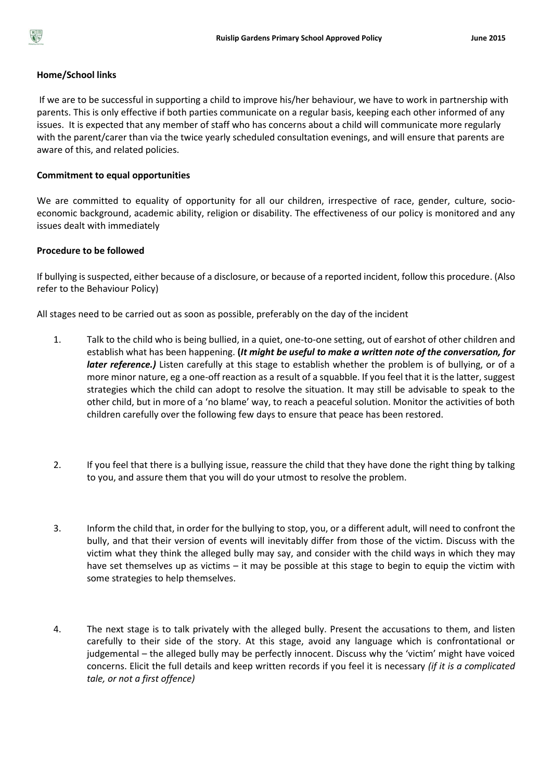

#### **Home/School links**

If we are to be successful in supporting a child to improve his/her behaviour, we have to work in partnership with parents. This is only effective if both parties communicate on a regular basis, keeping each other informed of any issues. It is expected that any member of staff who has concerns about a child will communicate more regularly with the parent/carer than via the twice yearly scheduled consultation evenings, and will ensure that parents are aware of this, and related policies.

#### **Commitment to equal opportunities**

We are committed to equality of opportunity for all our children, irrespective of race, gender, culture, socioeconomic background, academic ability, religion or disability. The effectiveness of our policy is monitored and any issues dealt with immediately

#### **Procedure to be followed**

If bullying is suspected, either because of a disclosure, or because of a reported incident, follow this procedure. (Also refer to the Behaviour Policy)

All stages need to be carried out as soon as possible, preferably on the day of the incident

- 1. Talk to the child who is being bullied, in a quiet, one-to-one setting, out of earshot of other children and establish what has been happening. **(***It might be useful to make a written note of the conversation, for later reference.*) Listen carefully at this stage to establish whether the problem is of bullying, or of a more minor nature, eg a one-off reaction as a result of a squabble. If you feel that it is the latter, suggest strategies which the child can adopt to resolve the situation. It may still be advisable to speak to the other child, but in more of a 'no blame' way, to reach a peaceful solution. Monitor the activities of both children carefully over the following few days to ensure that peace has been restored.
- 2. If you feel that there is a bullying issue, reassure the child that they have done the right thing by talking to you, and assure them that you will do your utmost to resolve the problem.
- 3. Inform the child that, in order for the bullying to stop, you, or a different adult, will need to confront the bully, and that their version of events will inevitably differ from those of the victim. Discuss with the victim what they think the alleged bully may say, and consider with the child ways in which they may have set themselves up as victims – it may be possible at this stage to begin to equip the victim with some strategies to help themselves.
- 4. The next stage is to talk privately with the alleged bully. Present the accusations to them, and listen carefully to their side of the story. At this stage, avoid any language which is confrontational or judgemental – the alleged bully may be perfectly innocent. Discuss why the 'victim' might have voiced concerns. Elicit the full details and keep written records if you feel it is necessary *(if it is a complicated tale, or not a first offence)*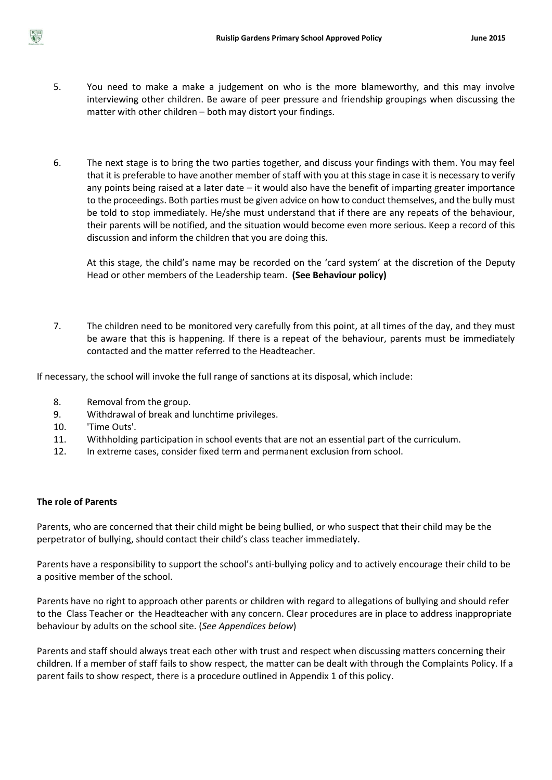

- 5. You need to make a make a judgement on who is the more blameworthy, and this may involve interviewing other children. Be aware of peer pressure and friendship groupings when discussing the matter with other children – both may distort your findings.
- 6. The next stage is to bring the two parties together, and discuss your findings with them. You may feel that it is preferable to have another member of staff with you at this stage in case it is necessary to verify any points being raised at a later date – it would also have the benefit of imparting greater importance to the proceedings. Both parties must be given advice on how to conduct themselves, and the bully must be told to stop immediately. He/she must understand that if there are any repeats of the behaviour, their parents will be notified, and the situation would become even more serious. Keep a record of this discussion and inform the children that you are doing this.

At this stage, the child's name may be recorded on the 'card system' at the discretion of the Deputy Head or other members of the Leadership team. **(See Behaviour policy)**

7. The children need to be monitored very carefully from this point, at all times of the day, and they must be aware that this is happening. If there is a repeat of the behaviour, parents must be immediately contacted and the matter referred to the Headteacher.

If necessary, the school will invoke the full range of sanctions at its disposal, which include:

- 8. Removal from the group.
- 9. Withdrawal of break and lunchtime privileges.
- 10. 'Time Outs'.
- 11. Withholding participation in school events that are not an essential part of the curriculum.
- 12. In extreme cases, consider fixed term and permanent exclusion from school.

### **The role of Parents**

Parents, who are concerned that their child might be being bullied, or who suspect that their child may be the perpetrator of bullying, should contact their child's class teacher immediately.

Parents have a responsibility to support the school's anti-bullying policy and to actively encourage their child to be a positive member of the school.

Parents have no right to approach other parents or children with regard to allegations of bullying and should refer to the Class Teacher or the Headteacher with any concern. Clear procedures are in place to address inappropriate behaviour by adults on the school site. (*See Appendices below*)

Parents and staff should always treat each other with trust and respect when discussing matters concerning their children. If a member of staff fails to show respect, the matter can be dealt with through the Complaints Policy. If a parent fails to show respect, there is a procedure outlined in Appendix 1 of this policy.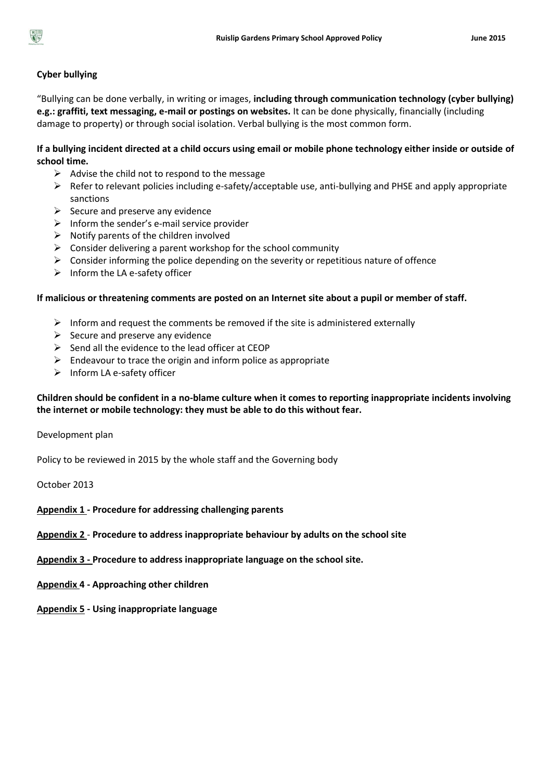

## **Cyber bullying**

"Bullying can be done verbally, in writing or images, **including through communication technology (cyber bullying) e.g.: graffiti, text messaging, e-mail or postings on websites.** It can be done physically, financially (including damage to property) or through social isolation. Verbal bullying is the most common form.

## **If a bullying incident directed at a child occurs using email or mobile phone technology either inside or outside of school time.**

- $\triangleright$  Advise the child not to respond to the message
- $\triangleright$  Refer to relevant policies including e-safety/acceptable use, anti-bullying and PHSE and apply appropriate sanctions
- $\triangleright$  Secure and preserve any evidence
- $\triangleright$  Inform the sender's e-mail service provider
- $\triangleright$  Notify parents of the children involved
- $\triangleright$  Consider delivering a parent workshop for the school community
- $\triangleright$  Consider informing the police depending on the severity or repetitious nature of offence
- $\triangleright$  Inform the LA e-safety officer

### **If malicious or threatening comments are posted on an Internet site about a pupil or member of staff.**

- $\triangleright$  Inform and request the comments be removed if the site is administered externally
- $\triangleright$  Secure and preserve any evidence
- $\triangleright$  Send all the evidence to the lead officer at CEOP
- $\triangleright$  Endeavour to trace the origin and inform police as appropriate
- $\triangleright$  Inform LA e-safety officer

## **Children should be confident in a no-blame culture when it comes to reporting inappropriate incidents involving the internet or mobile technology: they must be able to do this without fear.**

Development plan

Policy to be reviewed in 2015 by the whole staff and the Governing body

October 2013

### **Appendix 1 - Procedure for addressing challenging parents**

**Appendix 2** - **Procedure to address inappropriate behaviour by adults on the school site**

**Appendix 3 - Procedure to address inappropriate language on the school site.**

- **Appendix 4 - Approaching other children**
- **Appendix 5 - Using inappropriate language**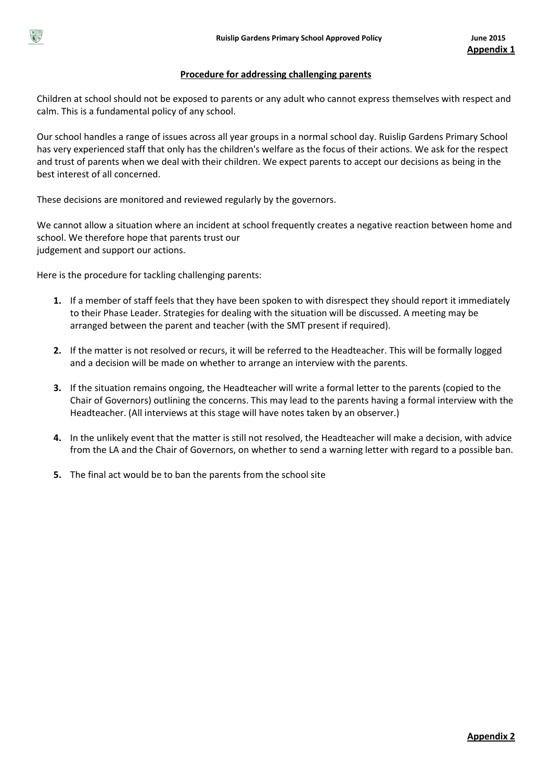

#### **Procedure for addressing challenging parents**

Children at school should not be exposed to parents or any adult who cannot express themselves with respect and calm. This is a fundamental policy of any school.

Our school handles a range of issues across all year groups in a normal school day. Ruislip Gardens Primary School has very experienced staff that only has the children's welfare as the focus of their actions. We ask for the respect and trust of parents when we deal with their children. We expect parents to accept our decisions as being in the best interest of all concerned.

These decisions are monitored and reviewed regularly by the governors.

We cannot allow a situation where an incident at school frequently creates a negative reaction between home and school. We therefore hope that parents trust our judgement and support our actions.

Here is the procedure for tackling challenging parents:

- **1.** If a member of staff feels that they have been spoken to with disrespect they should report it immediately to their Phase Leader. Strategies for dealing with the situation will be discussed. A meeting may be arranged between the parent and teacher (with the SMT present if required).
- **2.** If the matter is not resolved or recurs, it will be referred to the Headteacher. This will be formally logged and a decision will be made on whether to arrange an interview with the parents.
- **3.** If the situation remains ongoing, the Headteacher will write a formal letter to the parents (copied to the Chair of Governors) outlining the concerns. This may lead to the parents having a formal interview with the Headteacher. (All interviews at this stage will have notes taken by an observer.)
- **4.** In the unlikely event that the matter is still not resolved, the Headteacher will make a decision, with advice from the LA and the Chair of Governors, on whether to send a warning letter with regard to a possible ban.
- **5.** The final act would be to ban the parents from the school site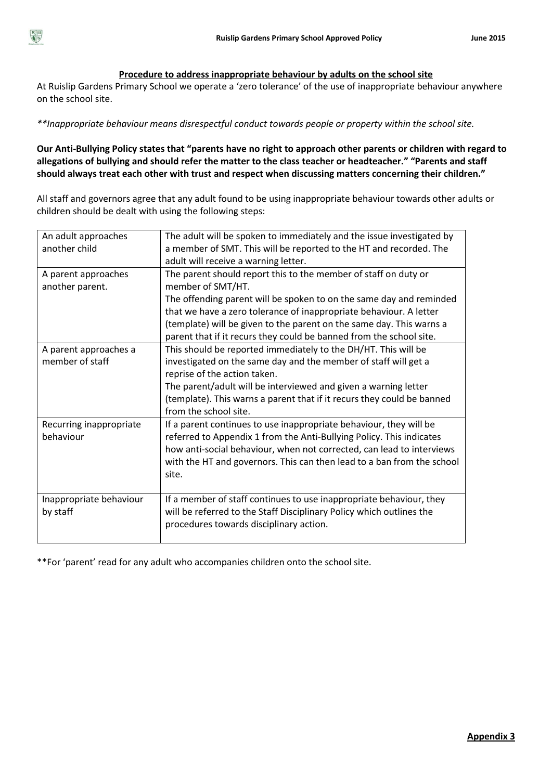

### **Procedure to address inappropriate behaviour by adults on the school site**

At Ruislip Gardens Primary School we operate a 'zero tolerance' of the use of inappropriate behaviour anywhere on the school site.

*\*\*Inappropriate behaviour means disrespectful conduct towards people or property within the school site.*

**Our Anti-Bullying Policy states that "parents have no right to approach other parents or children with regard to allegations of bullying and should refer the matter to the class teacher or headteacher." "Parents and staff should always treat each other with trust and respect when discussing matters concerning their children."**

All staff and governors agree that any adult found to be using inappropriate behaviour towards other adults or children should be dealt with using the following steps:

| An adult approaches<br>another child     | The adult will be spoken to immediately and the issue investigated by<br>a member of SMT. This will be reported to the HT and recorded. The<br>adult will receive a warning letter.                                                                                                                                                                                              |
|------------------------------------------|----------------------------------------------------------------------------------------------------------------------------------------------------------------------------------------------------------------------------------------------------------------------------------------------------------------------------------------------------------------------------------|
| A parent approaches<br>another parent.   | The parent should report this to the member of staff on duty or<br>member of SMT/HT.<br>The offending parent will be spoken to on the same day and reminded<br>that we have a zero tolerance of inappropriate behaviour. A letter<br>(template) will be given to the parent on the same day. This warns a<br>parent that if it recurs they could be banned from the school site. |
| A parent approaches a<br>member of staff | This should be reported immediately to the DH/HT. This will be<br>investigated on the same day and the member of staff will get a<br>reprise of the action taken.<br>The parent/adult will be interviewed and given a warning letter<br>(template). This warns a parent that if it recurs they could be banned<br>from the school site.                                          |
| Recurring inappropriate<br>behaviour     | If a parent continues to use inappropriate behaviour, they will be<br>referred to Appendix 1 from the Anti-Bullying Policy. This indicates<br>how anti-social behaviour, when not corrected, can lead to interviews<br>with the HT and governors. This can then lead to a ban from the school<br>site.                                                                           |
| Inappropriate behaviour<br>by staff      | If a member of staff continues to use inappropriate behaviour, they<br>will be referred to the Staff Disciplinary Policy which outlines the<br>procedures towards disciplinary action.                                                                                                                                                                                           |

\*\*For 'parent' read for any adult who accompanies children onto the school site.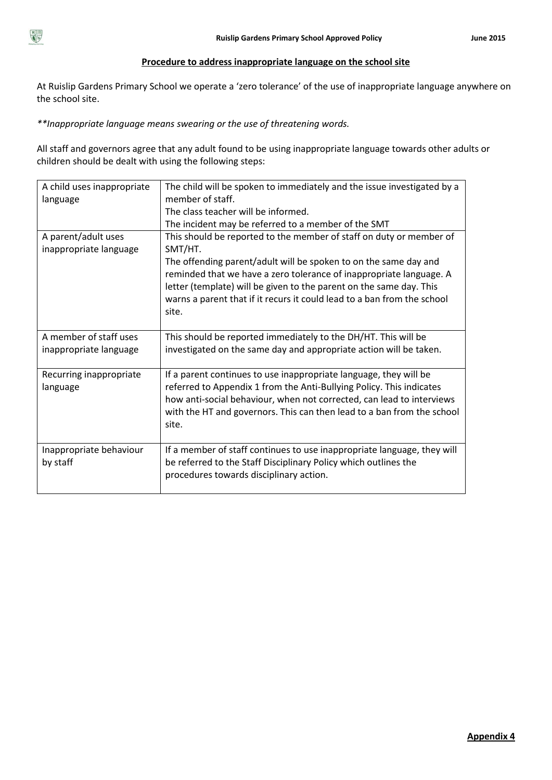

# **Procedure to address inappropriate language on the school site**

At Ruislip Gardens Primary School we operate a 'zero tolerance' of the use of inappropriate language anywhere on the school site.

*\*\*Inappropriate language means swearing or the use of threatening words.*

All staff and governors agree that any adult found to be using inappropriate language towards other adults or children should be dealt with using the following steps:

| A child uses inappropriate<br>language           | The child will be spoken to immediately and the issue investigated by a<br>member of staff.<br>The class teacher will be informed.<br>The incident may be referred to a member of the SMT                                                                                                                                                                                            |
|--------------------------------------------------|--------------------------------------------------------------------------------------------------------------------------------------------------------------------------------------------------------------------------------------------------------------------------------------------------------------------------------------------------------------------------------------|
| A parent/adult uses<br>inappropriate language    | This should be reported to the member of staff on duty or member of<br>SMT/HT.<br>The offending parent/adult will be spoken to on the same day and<br>reminded that we have a zero tolerance of inappropriate language. A<br>letter (template) will be given to the parent on the same day. This<br>warns a parent that if it recurs it could lead to a ban from the school<br>site. |
| A member of staff uses<br>inappropriate language | This should be reported immediately to the DH/HT. This will be<br>investigated on the same day and appropriate action will be taken.                                                                                                                                                                                                                                                 |
| Recurring inappropriate<br>language              | If a parent continues to use inappropriate language, they will be<br>referred to Appendix 1 from the Anti-Bullying Policy. This indicates<br>how anti-social behaviour, when not corrected, can lead to interviews<br>with the HT and governors. This can then lead to a ban from the school<br>site.                                                                                |
| Inappropriate behaviour<br>by staff              | If a member of staff continues to use inappropriate language, they will<br>be referred to the Staff Disciplinary Policy which outlines the<br>procedures towards disciplinary action.                                                                                                                                                                                                |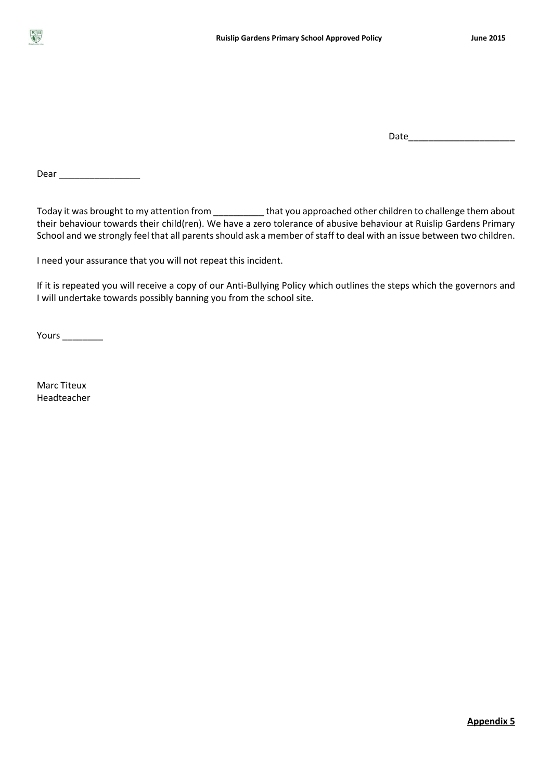

Date\_\_\_\_\_\_\_\_\_\_\_\_\_\_\_\_\_\_\_\_\_

Dear \_\_\_\_\_\_\_\_\_\_\_\_\_\_\_\_

Today it was brought to my attention from \_\_\_\_\_\_\_\_\_\_ that you approached other children to challenge them about their behaviour towards their child(ren). We have a zero tolerance of abusive behaviour at Ruislip Gardens Primary School and we strongly feel that all parents should ask a member of staff to deal with an issue between two children.

I need your assurance that you will not repeat this incident.

If it is repeated you will receive a copy of our Anti-Bullying Policy which outlines the steps which the governors and I will undertake towards possibly banning you from the school site.

Yours \_\_\_\_\_\_\_\_

Marc Titeux Headteacher